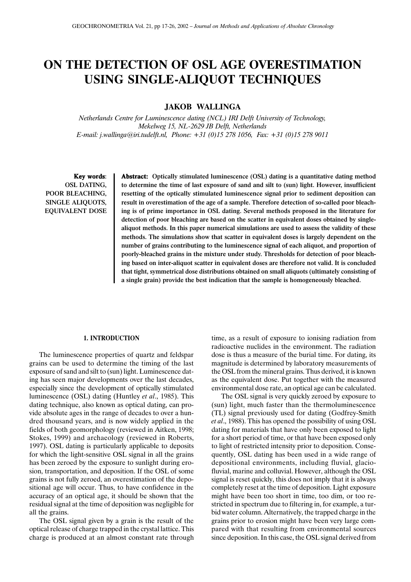# **ON THE DETECTION OF OSL AGE OVERESTIMATION USING SINGLE-ALIQUOT TECHNIQUES**

**JAKOB WALLINGA**

*Netherlands Centre for Luminescence dating (NCL) IRI Delft University of Technology, Mekelweg 15, NL-2629 JB Delft, Netherlands E-mail: j.wallinga@iri.tudelft.nl, Phone: +31 (0)15 278 1056, Fax: +31 (0)15 278 9011*

Key words: OSL DATING, POOR BLEACHING, SINGLE ALIQUOTS, EQUIVALENT DOSE Abstract: Optically stimulated luminescence (OSL) dating is a quantitative dating method to determine the time of last exposure of sand and silt to (sun) light. However, insufficient resetting of the optically stimulated luminescence signal prior to sediment deposition can result in overestimation of the age of a sample. Therefore detection of so-called poor bleaching is of prime importance in OSL dating. Several methods proposed in the literature for detection of poor bleaching are based on the scatter in equivalent doses obtained by singlealiquot methods. In this paper numerical simulations are used to assess the validity of these methods. The simulations show that scatter in equivalent doses is largely dependent on the number of grains contributing to the luminescence signal of each aliquot, and proportion of poorly-bleached grains in the mixture under study. Thresholds for detection of poor bleaching based on inter-aliquot scatter in equivalent doses are therefore not valid. It is concluded that tight, symmetrical dose distributions obtained on small aliquots (ultimately consisting of a single grain) provide the best indication that the sample is homogeneously bleached.

## **1. INTRODUCTION**

The luminescence properties of quartz and feldspar grains can be used to determine the timing of the last exposure of sand and silt to (sun) light. Luminescence dating has seen major developments over the last decades, especially since the development of optically stimulated luminescence (OSL) dating (Huntley *et al*., 1985). This dating technique, also known as optical dating, can provide absolute ages in the range of decades to over a hundred thousand years, and is now widely applied in the fields of both geomorphology (reviewed in Aitken, 1998; Stokes, 1999) and archaeology (reviewed in Roberts, 1997). OSL dating is particularly applicable to deposits for which the light-sensitive OSL signal in all the grains has been zeroed by the exposure to sunlight during erosion, transportation, and deposition. If the OSL of some grains is not fully zeroed, an overestimation of the depositional age will occur. Thus, to have confidence in the accuracy of an optical age, it should be shown that the residual signal at the time of deposition was negligible for all the grains.

The OSL signal given by a grain is the result of the optical release of charge trapped in the crystal lattice. This charge is produced at an almost constant rate through time, as a result of exposure to ionising radiation from radioactive nuclides in the environment. The radiation dose is thus a measure of the burial time. For dating, its magnitude is determined by laboratory measurements of the OSL from the mineral grains. Thus derived, it is known as the equivalent dose. Put together with the measured environmental dose rate, an optical age can be calculated.

The OSL signal is very quickly zeroed by exposure to (sun) light, much faster than the thermoluminescence (TL) signal previously used for dating (Godfrey-Smith *et al*., 1988). This has opened the possibility of using OSL dating for materials that have only been exposed to light for a short period of time, or that have been exposed only to light of restricted intensity prior to deposition. Consequently, OSL dating has been used in a wide range of depositional environments, including fluvial, glaciofluvial, marine and colluvial. However, although the OSL signal is reset quickly, this does not imply that it is always completely reset at the time of deposition. Light exposure might have been too short in time, too dim, or too restricted in spectrum due to filtering in, for example, a turbid water column. Alternatively, the trapped charge in the grains prior to erosion might have been very large compared with that resulting from environmental sources since deposition. In this case, the OSL signal derived from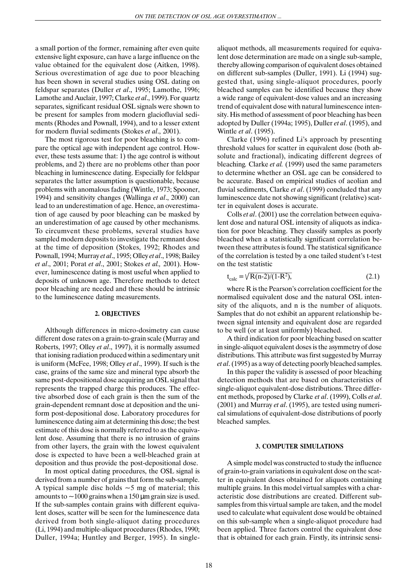a small portion of the former, remaining after even quite extensive light exposure, can have a large influence on the value obtained for the equivalent dose (Aitken, 1998). Serious overestimation of age due to poor bleaching has been shown in several studies using OSL dating on feldspar separates (Duller *et al*., 1995; Lamothe, 1996; Lamothe and Auclair, 1997; Clarke *et al*., 1999). For quartz separates, significant residual OSL signals were shown to be present for samples from modern glaciofluvial sediments (Rhodes and Pownall, 1994), and to a lesser extent for modern fluvial sediments (Stokes *et al*., 2001).

The most rigorous test for poor bleaching is to compare the optical age with independent age control. However, these tests assume that: 1) the age control is without problems, and 2) there are no problems other than poor bleaching in luminescence dating. Especially for feldspar separates the latter assumption is questionable, because problems with anomalous fading (Wintle, 1973; Spooner, 1994) and sensitivity changes (Wallinga *et al*., 2000) can lead to an underestimation of age. Hence, an overestimation of age caused by poor bleaching can be masked by an underestimation of age caused by other mechanisms. To circumvent these problems, several studies have sampled modern deposits to investigate the remnant dose at the time of deposition (Stokes, 1992; Rhodes and Pownall, 1994; Murray *et al*., 1995; Olley *et al*., 1998; Bailey *et al*., 2001; Porat *et al*., 2001; Stokes *et al.,* 2001). However, luminescence dating is most useful when applied to deposits of unknown age. Therefore methods to detect poor bleaching are needed and these should be intrinsic to the luminescence dating measurements.

#### **2. OBJECTIVES**

Although differences in micro-dosimetry can cause different dose rates on a grain-to-grain scale (Murray and Roberts, 1997; Olley *et al*., 1997), it is normally assumed that ionising radiation produced within a sedimentary unit is uniform (McFee, 1998; Olley *et al*., 1999). If such is the case, grains of the same size and mineral type absorb the same post-depositional dose acquiring an OSL signal that represents the trapped charge this produces. The effective absorbed dose of each grain is then the sum of the grain-dependent remnant dose at deposition and the uniform post-depositional dose. Laboratory procedures for luminescence dating aim at determining this dose; the best estimate of this dose is normally referred to as the equivalent dose. Assuming that there is no intrusion of grains from other layers, the grain with the lowest equivalent dose is expected to have been a well-bleached grain at deposition and thus provide the post-depositional dose.

In most optical dating procedures, the OSL signal is derived from a number of grains that form the sub-sample. A typical sample disc holds  $\sim$  5 mg of material; this amounts to  $\sim$ 1000 grains when a 150 µm grain size is used. If the sub-samples contain grains with different equivalent doses, scatter will be seen for the luminescence data derived from both single-aliquot dating procedures (Li, 1994) and multiple-aliquot procedures (Rhodes, 1990; Duller, 1994a; Huntley and Berger, 1995). In singlealiquot methods, all measurements required for equivalent dose determination are made on a single sub-sample, thereby allowing comparison of equivalent doses obtained on different sub-samples (Duller, 1991). Li (1994) suggested that, using single-aliquot procedures, poorly bleached samples can be identified because they show a wide range of equivalent-dose values and an increasing trend of equivalent dose with natural luminescence intensity. His method of assessment of poor bleaching has been adopted by Duller (1994a; 1995), Duller *et al*. (1995), and Wintle *et al*. (1995).

Clarke (1996) refined Li's approach by presenting threshold values for scatter in equivalent dose (both absolute and fractional), indicating different degrees of bleaching*.* Clarke *et al.* (1999) used the same parameters to determine whether an OSL age can be considered to be accurate. Based on empirical studies of aeolian and fluvial sediments, Clarke *et al*. (1999) concluded that any luminescence date not showing significant (relative) scatter in equivalent doses is accurate.

Colls *et al*. (2001) use the correlation between equivalent dose and natural OSL intensity of aliquots as indication for poor bleaching. They classify samples as poorly bleached when a statistically significant correlation between these attributes is found. The statistical significance of the correlation is tested by a one tailed student's t-test on the test statistic

$$
t_{calc} = \sqrt{R(n-2)/(1-R^2)},
$$
\n(2.1)

where R is the Pearson's correlation coefficient for the normalised equivalent dose and the natural OSL intensity of the aliquots, and n is the number of aliquots. Samples that do not exhibit an apparent relationship between signal intensity and equivalent dose are regarded to be well (or at least uniformly) bleached.

A third indication for poor bleaching based on scatter in single-aliquot equivalent doses is the asymmetry of dose distributions. This attribute was first suggested by Murray *et al*. (1995) as a way of detecting poorly bleached samples.

In this paper the validity is assessed of poor bleaching detection methods that are based on characteristics of single-aliquot equivalent-dose distributions. Three different methods, proposed by Clarke *et al*. (1999), Colls *et al*. (2001) and Murray *et al*. (1995), are tested using numerical simulations of equivalent-dose distributions of poorly bleached samples.

#### **3. COMPUTER SIMULATIONS**

A simple model was constructed to study the influence of grain-to-grain variations in equivalent dose on the scatter in equivalent doses obtained for aliquots containing multiple grains. In this model virtual samples with a characteristic dose distributions are created. Different subsamples from this virtual sample are taken, and the model used to calculate what equivalent dose would be obtained on this sub-sample when a single-aliquot procedure had been applied. Three factors control the equivalent dose that is obtained for each grain. Firstly, its intrinsic sensi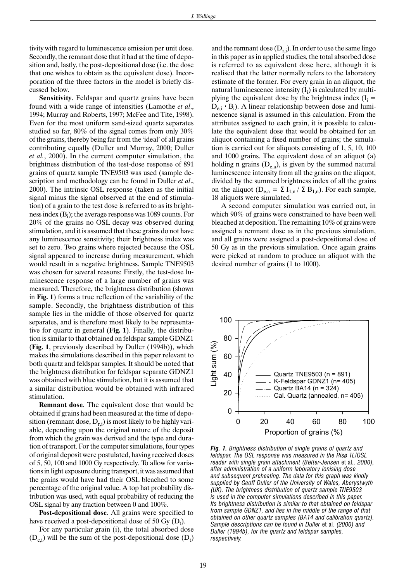tivity with regard to luminescence emission per unit dose. Secondly, the remnant dose that it had at the time of deposition and, lastly, the post-depositional dose (i.e. the dose that one wishes to obtain as the equivalent dose). Incorporation of the three factors in the model is briefly discussed below.

**Sensitivity**. Feldspar and quartz grains have been found with a wide range of intensities (Lamothe *et al*., 1994; Murray and Roberts, 1997; McFee and Tite, 1998). Even for the most uniform sand-sized quartz separates studied so far, 80% of the signal comes from only 30% of the grains, thereby being far from the 'ideal' of all grains contributing equally (Duller and Murray, 2000; Duller *et al.*, 2000). In the current computer simulation, the brightness distribution of the test-dose response of 891 grains of quartz sample TNE9503 was used (sample description and methodology can be found in Duller *et al*., 2000). The intrinsic OSL response (taken as the initial signal minus the signal observed at the end of stimulation) of a grain to the test dose is referred to as its brightness index  $(B<sub>i</sub>)$ ; the average response was 1089 counts. For 20% of the grains no OSL decay was observed during stimulation, and it is assumed that these grains do not have any luminescence sensitivity; their brightness index was set to zero. Two grains where rejected because the OSL signal appeared to increase during measurement, which would result in a negative brightness. Sample TNE9503 was chosen for several reasons: Firstly, the test-dose luminescence response of a large number of grains was measured. Therefore, the brightness distribution (shown in **Fig. 1**) forms a true reflection of the variability of the sample. Secondly, the brightness distribution of this sample lies in the middle of those observed for quartz separates, and is therefore most likely to be representative for quartz in general (**Fig. 1**). Finally, the distribution is similar to that obtained on feldspar sample GDNZ1 (**Fig. 1**, previously described by Duller (1994b)), which makes the simulations described in this paper relevant to both quartz and feldspar samples. It should be noted that the brightness distribution for feldspar separate GDNZ1 was obtained with blue stimulation, but it is assumed that a similar distribution would be obtained with infrared stimulation.

**Remnant dose**. The equivalent dose that would be obtained if grains had been measured at the time of deposition (remnant dose,  $D_{r,i}$ ) is most likely to be highly variable, depending upon the original nature of the deposit from which the grain was derived and the type and duration of transport. For the computer simulations, four types of original deposit were postulated, having received doses of 5, 50, 100 and 1000 Gy respectively. To allow for variations in light exposure during transport, it was assumed that the grains would have had their OSL bleached to some percentage of the original value. A top hat probability distribution was used, with equal probability of reducing the OSL signal by any fraction between 0 and 100%.

**Post-depositional dose**. All grains were specified to have received a post-depositional dose of 50 Gy  $(D_t)$ .

For any particular grain (i), the total absorbed dose  $(D_{e,i})$  will be the sum of the post-depositional dose  $(D_t)$ 

and the remnant dose  $(D_{r,i})$ . In order to use the same lingo in this paper as in applied studies, the total absorbed dose is referred to as equivalent dose here, although it is realised that the latter normally refers to the laboratory estimate of the former. For every grain in an aliquot, the natural luminescence intensity  $(I_i)$  is calculated by multiplying the equivalent dose by the brightness index  $(I_i =$  $D_{e,i} \cdot B_i$ ). A linear relationship between dose and luminescence signal is assumed in this calculation. From the attributes assigned to each grain, it is possible to calculate the equivalent dose that would be obtained for an aliquot containing a fixed number of grains; the simulation is carried out for aliquots consisting of 1, 5, 10, 100 and 1000 grains. The equivalent dose of an aliquot (a) holding n grains  $(D_{e,a})$ , is given by the summed natural luminescence intensity from all the grains on the aliquot, divided by the summed brightness index of all the grains on the aliquot ( $D_{e,a} = \Sigma I_{1,n} / \Sigma B_{1,n}$ ). For each sample, 18 aliquots were simulated.

A second computer simulation was carried out, in which 90% of grains were constrained to have been well bleached at deposition. The remaining 10% of grains were assigned a remnant dose as in the previous simulation, and all grains were assigned a post-depositional dose of 50 Gy as in the previous simulation. Once again grains were picked at random to produce an aliquot with the desired number of grains (1 to 1000).



*Fig. 1. Brightness distribution of single grains of quartz and feldspar. The OSL response was measured in the Risø TL/OSL reader with single grain attachment (Bøtter-Jensen* et al*., 2000), after administration of a uniform laboratory ionising dose and subsequent preheating. The data for this graph was kindly supplied by Geoff Duller of the University of Wales, Aberystwyth (UK). The brightness distribution of quartz sample TNE9503 is used in the computer simulations described in this paper. Its brightness distribution is similar to that obtained on feldspar from sample GDNZ1, and lies in the middle of the range of that obtained on other quartz samples (BA14 and calibration quartz). Sample descriptions can be found in Duller* et al*. (2000) and Duller (1994b), for the quartz and feldspar samples, respectively.*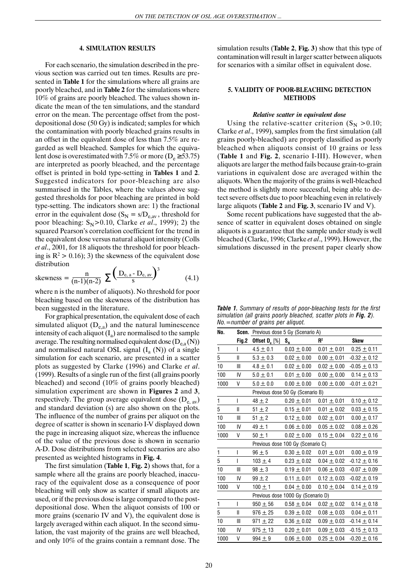## **4. SIMULATION RESULTS**

For each scenario, the simulation described in the previous section was carried out ten times. Results are presented in **Table 1** for the simulations where all grains are poorly bleached, and in **Table 2** for the simulations where 10% of grains are poorly bleached. The values shown indicate the mean of the ten simulations, and the standard error on the mean. The percentage offset from the postdepositional dose (50 Gy) is indicated; samples for which the contamination with poorly bleached grains results in an offset in the equivalent dose of less than 7.5% are regarded as well bleached. Samples for which the equivalent dose is overestimated with 7.5% or more ( $D_e \ge 53.75$ ) are interpreted as poorly bleached, and the percentage offset is printed in bold type-setting in **Tables 1** and **2**. Suggested indicators for poor-bleaching are also summarised in the Tables, where the values above suggested thresholds for poor bleaching are printed in bold type-setting. The indicators shown are: 1) the fractional error in the equivalent dose ( $S_N = s/D_{e,av}$ , threshold for poor bleaching:  $S_N > 0.10$ , Clarke *et al.*, 1999); 2) the squared Pearson's correlation coefficient for the trend in the equivalent dose versus natural aliquot intensity (Colls *et al*., 2001, for 18 aliquots the threshold for poor bleaching is  $R^2 > 0.16$ ; 3) the skewness of the equivalent dose distribution

skewness = 
$$
\frac{n}{(n-1)(n-2)} \sum \left( \frac{D_{e, a} - D_{e, av}}{s} \right)^3
$$
 (4.1)

where n is the number of aliquots). No threshold for poor bleaching based on the skewness of the distribution has been suggested in the literature.

For graphical presentation, the equivalent dose of each simulated aliquot  $(D_{e,a})$  and the natural luminescence intensity of each aliquot  $(I_a)$  are normalised to the sample average. The resulting normalised equivalent dose  $(D_{e,a}(N))$ and normalised natural OSL signal  $(I_a(N))$  of a single simulation for each scenario, are presented in a scatter plots as suggested by Clarke (1996) and Clarke *et al*. (1999). Results of a single run of the first (all grains poorly bleached) and second (10% of grains poorly bleached) simulation experiment are shown in **Figures 2** and **3**, respectively. The group average equivalent dose  $(D_{e, av})$ and standard deviation (s) are also shown on the plots. The influence of the number of grains per aliquot on the degree of scatter is shown in scenario I-V displayed down the page in increasing aliquot size, whereas the influence of the value of the previous dose is shown in scenario A-D. Dose distributions from selected scenarios are also presented as weighted histograms in **Fig. 4**.

The first simulation (**Table 1**, **Fig. 2**) shows that, for a sample where all the grains are poorly bleached, inaccuracy of the equivalent dose as a consequence of poor bleaching will only show as scatter if small aliquots are used, or if the previous dose is large compared to the postdepositional dose. When the aliquot consists of 100 or more grains (scenario IV and V), the equivalent dose is largely averaged within each aliquot. In the second simulation, the vast majority of the grains are well bleached, and only 10% of the grains contain a remnant dose. The simulation results (**Table 2**, **Fig. 3**) show that this type of contamination will result in larger scatter between aliquots for scenarios with a similar offset in equivalent dose.

## **5. VALIDITY OF POOR-BLEACHING DETECTION METHODS**

#### *Relative scatter in equivalent dose*

Using the relative-scatter criterion  $(S_N > 0.10;$ Clarke *et al*., 1999), samples from the first simulation (all grains poorly-bleached) are properly classified as poorly bleached when aliquots consist of 10 grains or less (**Table 1** and **Fig. 2**, scenario I-III). However, when aliquots are larger the method fails because grain-to-grain variations in equivalent dose are averaged within the aliquots. When the majority of the grains is well-bleached the method is slightly more successful, being able to detect severe offsets due to poor bleaching even in relatively large aliquots (**Table 2** and **Fig. 3**, scenario IV and V).

Some recent publications have suggested that the absence of scatter in equivalent doses obtained on single aliquots is a guarantee that the sample under study is well bleached (Clarke, 1996; Clarke *et al*., 1999). However, the simulations discussed in the present paper clearly show

*Table 1. Summary of results of poor-bleaching tests for the first simulation (all grains poorly bleached, scatter plots in Fig. 2). No.=number of grains per aliquot.*

| No.          |              | Scen. Previous dose 5 Gy (Scenario A) |                               |                 |                  |  |  |  |
|--------------|--------------|---------------------------------------|-------------------------------|-----------------|------------------|--|--|--|
|              | Fig.2        | Offset $D_{e}$ [%]                    | $S_{\scriptscriptstyle\rm N}$ | $R^2$           | <b>Skew</b>      |  |  |  |
| 1            | I            | $4.5 \pm 0.1$                         | $0.03 \pm 0.00$               | $0.01 \pm 0.01$ | $0.25 \pm 0.11$  |  |  |  |
| 5            | $\mathbf{I}$ | $5.3 \pm 0.3$                         | $0.02 \pm 0.00$               | $0.00 \pm 0.01$ | $-0.32 \pm 0.12$ |  |  |  |
| 10           | Ш            | $4.8 \pm 0.1$                         | $0.02 \pm 0.00$               | $0.02 \pm 0.00$ | $-0.05 \pm 0.13$ |  |  |  |
| 100          | IV           | $5.0 \pm 0.1$                         | $0.01 \pm 0.00$               | $0.00 \pm 0.00$ | $0.14 \pm 0.13$  |  |  |  |
| 1000         | V            | $5.0 \pm 0.0$                         | $0.00 \pm 0.00$               | $0.00 \pm 0.00$ | $-0.01 \pm 0.21$ |  |  |  |
|              |              | Previous dose 50 Gy (Scenario B)      |                               |                 |                  |  |  |  |
| $\mathbf{1}$ | $\mathsf{I}$ | $48 \pm 2$                            | $0.20 \pm 0.01$               | $0.01 \pm 0.01$ | $0.10 \pm 0.12$  |  |  |  |
| 5            | $\mathbf{I}$ | $51 \pm 2$                            | $0.15 \pm 0.01$               | $0.01 \pm 0.02$ | $0.03 \pm 0.15$  |  |  |  |
| 10           | $\mathbb{I}$ | $51 \pm 2$                            | $0.12 \pm 0.00$               | $0.02 \pm 0.01$ | $0.00 \pm 0.17$  |  |  |  |
| 100          | IV           | $49 \pm 1$                            | $0.06 \pm 0.00$               | $0.05 \pm 0.02$ | $0.08 \pm 0.26$  |  |  |  |
| 1000         | V            | $50 \pm 1$                            | $0.02 \pm 0.00$               | $0.15 \pm 0.04$ | $0.22 \pm 0.16$  |  |  |  |
|              |              | Previous dose 100 Gy (Scenario C)     |                               |                 |                  |  |  |  |
| 1            | I            | $96 \pm 5$                            | $0.30 \pm 0.02$               | $0.01 \pm 0.01$ | $0.00 \pm 0.19$  |  |  |  |
| 5            | I            | $103 + 4$                             | $0.23 \pm 0.02$               | $0.04 \pm 0.02$ | $-0.12 \pm 0.16$ |  |  |  |
| 10           | Ш            | $98 \pm 3$                            | $0.19 \pm 0.01$               | $0.06 \pm 0.03$ | $-0.07 \pm 0.09$ |  |  |  |
| 100          | IV           | $99 \pm 2$                            | $0.11 \pm 0.01$               | $0.12 \pm 0.03$ | $-0.02 \pm 0.19$ |  |  |  |
| 1000         | v            | $100 \pm 1$                           | $0.04 \pm 0.00$               | $0.10 \pm 0.04$ | $0.14 \pm 0.19$  |  |  |  |
|              |              | Previous dose 1000 Gy (Scenario D)    |                               |                 |                  |  |  |  |
| 1            | I            | $950 \pm 56$                          | $0.58 \pm 0.04$               | $0.02 \pm 0.02$ | $0.14 \pm 0.18$  |  |  |  |
| 5            | Ш            | $976 \pm 25$                          | $0.39 \pm 0.02$               | $0.08 \pm 0.03$ | $0.04 \pm 0.11$  |  |  |  |
| 10           | Ш            | $971 \pm 22$                          | $0.36 \pm 0.02$               | $0.09 \pm 0.03$ | $-0.14 \pm 0.14$ |  |  |  |
| 100          | IV           | $975 \pm 13$                          | $0.20 \pm 0.01$               | $0.09 \pm 0.03$ | $-0.15 \pm 0.13$ |  |  |  |
| 1000         | V            | $994 + 9$                             | $0.06 \pm 0.00$               | $0.25 \pm 0.04$ | $-0.20 \pm 0.16$ |  |  |  |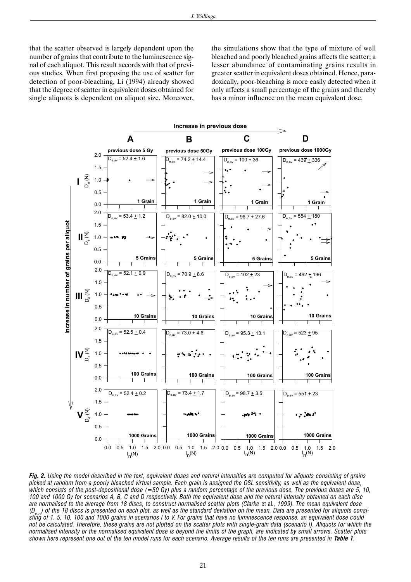that the scatter observed is largely dependent upon the number of grains that contribute to the luminescence signal of each aliquot. This result accords with that of previous studies. When first proposing the use of scatter for detection of poor-bleaching, Li (1994) already showed that the degree of scatter in equivalent doses obtained for single aliquots is dependent on aliquot size. Moreover, the simulations show that the type of mixture of well bleached and poorly bleached grains affects the scatter; a lesser abundance of contaminating grains results in greater scatter in equivalent doses obtained. Hence, paradoxically, poor-bleaching is more easily detected when it only affects a small percentage of the grains and thereby has a minor influence on the mean equivalent dose.



*Fig. 2. Using the model described in the text, equivalent doses and natural intensities are computed for aliquots consisting of grains picked at random from a poorly bleached virtual sample. Each grain is assigned the OSL sensitivity, as well as the equivalent dose, which consists of the post-depositional dose (=50 Gy) plus a random percentage of the previous dose. The previous doses are 5, 10, 100 and 1000 Gy for scenarios A, B, C and D respectively. Both the equivalent dose and the natural intensity obtained on each disc are normalised to the average from 18 discs, to construct normalised scatter plots (Clarke* et al*., 1999). The mean equivalent dose (De,av) of the 18 discs is presented on each plot, as well as the standard deviation on the mean. Data are presented for aliquots consisting of 1, 5, 10, 100 and 1000 grains in scenarios I to V. For grains that have no luminescence response, an equivalent dose could not be calculated. Therefore, these grains are not plotted on the scatter plots with single-grain data (scenario I). Aliquots for which the normalised intensity or the normalised equivalent dose is beyond the limits of the graph, are indicated by small arrows. Scatter plots shown here represent one out of the ten model runs for each scenario. Average results of the ten runs are presented in Table 1.*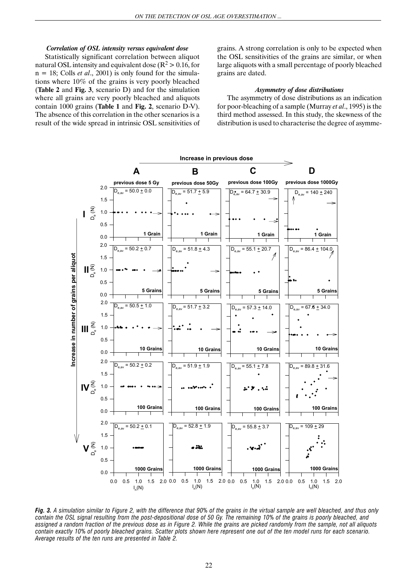## *Correlation of OSL intensity versus equivalent dose*

Statistically significant correlation between aliquot natural OSL intensity and equivalent dose ( $R^2 > 0.16$ , for n = 18; Colls *et al*., 2001) is only found for the simulations where 10% of the grains is very poorly bleached (**Table 2** and **Fig. 3**, scenario D) and for the simulation where all grains are very poorly bleached and aliquots contain 1000 grains (**Table 1** and **Fig. 2**, scenario D-V). The absence of this correlation in the other scenarios is a result of the wide spread in intrinsic OSL sensitivities of grains. A strong correlation is only to be expected when the OSL sensitivities of the grains are similar, or when large aliquots with a small percentage of poorly bleached grains are dated.

#### *Asymmetry of dose distributions*

The asymmetry of dose distributions as an indication for poor-bleaching of a sample (Murray *et al*., 1995) is the third method assessed. In this study, the skewness of the distribution is used to characterise the degree of asymme-



*Fig. 3. A simulation similar to Figure 2, with the difference that 90% of the grains in the virtual sample are well bleached, and thus only contain the OSL signal resulting from the post-depositional dose of 50 Gy. The remaining 10% of the grains is poorly bleached, and assigned a random fraction of the previous dose as in Figure 2. While the grains are picked randomly from the sample, not all aliquots contain exactly 10% of poorly bleached grains. Scatter plots shown here represent one out of the ten model runs for each scenario. Average results of the ten runs are presented in Table 2.*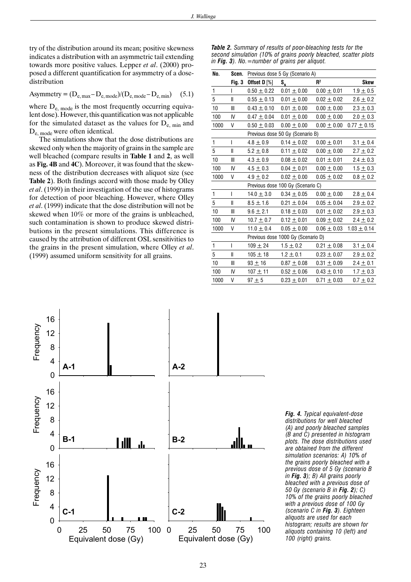try of the distribution around its mean; positive skewness indicates a distribution with an asymmetric tail extending towards more positive values. Lepper *et al*. (2000) proposed a different quantification for asymmetry of a dosedistribution

$$
Asymmetry = (D_{e, max} - D_{e, mode})/(D_{e, mode} - D_{e, min})
$$
 (5.1)

where  $D_{e, mode}$  is the most frequently occurring equivalent dose). However, this quantification was not applicable for the simulated dataset as the values for  $D_{e, min}$  and De, mode were often identical.

The simulations show that the dose distributions are skewed only when the majority of grains in the sample are well bleached (compare results in **Table 1** and **2**, as well as **Fig. 4B** and **4C**). Moreover, it was found that the skewness of the distribution decreases with aliquot size (see **Table 2**). Both findings accord with those made by Olley *et al*. (1999) in their investigation of the use of histograms for detection of poor bleaching. However, where Olley *et al*. (1999) indicate that the dose distribution will not be skewed when 10% or more of the grains is unbleached, such contamination is shown to produce skewed distributions in the present simulations. This difference is caused by the attribution of different OSL sensitivities to the grains in the present simulation, where Olley *et al*. (1999) assumed uniform sensitivity for all grains.

*Table 2. Summary of results of poor-bleaching tests for the second simulation (10% of grains poorly bleached, scatter plots in Fig. 3). No.=number of grains per aliquot.*

| No.          |              | Scen. Previous dose 5 Gy (Scenario A) |                 |                 |                 |  |  |  |
|--------------|--------------|---------------------------------------|-----------------|-----------------|-----------------|--|--|--|
|              |              | Fig. 3 Offset D $[\%]$                | $S_{N}$         | R <sup>2</sup>  | Skew            |  |  |  |
| $\mathbf{1}$ | L            | $0.50 \pm 0.22$                       | $0.01 \pm 0.00$ | $0.00 \pm 0.01$ | $1.9 \pm 0.5$   |  |  |  |
| $\mathbf 5$  | Ш            | $0.55 \pm 0.13$                       | $0.01 \pm 0.00$ | $0.02 \pm 0.02$ | $2.6 \pm 0.2$   |  |  |  |
| 10           | III          | $0.43 \pm 0.10$                       | $0.01 \pm 0.00$ | $0.00\pm0.00$   | $2.3 \pm 0.3$   |  |  |  |
| 100          | IV           | $0.47 \pm 0.04$                       | $0.01 \pm 0.00$ | $0.00\pm0.00$   | $2.0 \pm 0.3$   |  |  |  |
| 1000         | V            | $0.50 \pm 0.03$                       | $0.00 \pm 0.00$ | $0.00 \pm 0.00$ | $0.77 \pm 0.15$ |  |  |  |
|              |              | Previous dose 50 Gy (Scenario B)      |                 |                 |                 |  |  |  |
| 1            | T            | $4.8 \pm 0.9$                         | $0.14 \pm 0.02$ | $0.00 \pm 0.01$ | $3.1 \pm 0.4$   |  |  |  |
| 5            | $\mathbf{I}$ | $5.2 \pm 0.8$                         | $0.11 \pm 0.02$ | $0.00\pm0.00$   | $2.7 \pm 0.2$   |  |  |  |
| 10           | III          | $4.3 \pm 0.9$                         | $0.08 \pm 0.02$ | $0.01 \pm 0.01$ | $2.4 \pm 0.3$   |  |  |  |
| 100          | IV           | $4.5 \pm 0.3$                         | $0.04 \pm 0.01$ | $0.00\pm0.00$   | $1.5 \pm 0.3$   |  |  |  |
| 1000         | V            | $4.9 \pm 0.2$                         | $0.02 \pm 0.00$ | $0.05 \pm 0.02$ | $0.8 \pm 0.2$   |  |  |  |
|              |              | Previous dose 100 Gy (Scenario C)     |                 |                 |                 |  |  |  |
| $\mathbf{1}$ | T            | $14.0 \pm 3.0$                        | $0.34 \pm 0.05$ | $0.00\pm0.00$   | $2.8 \pm 0.4$   |  |  |  |
| 5            | $\mathbf{I}$ | $8.5 \pm 1.6$                         | $0.21 \pm 0.04$ | $0.05 \pm 0.04$ | $2.9 \pm 0.2$   |  |  |  |
| 10           | III          | $9.6 \pm 2.1$                         | $0.18 \pm 0.03$ | $0.01 \pm 0.02$ | $2.9 \pm 0.3$   |  |  |  |
| 100          | IV           | $10.7 \pm 0.7$                        | $0.12 \pm 0.01$ | $0.09 \pm 0.02$ | $2.4 \pm 0.2$   |  |  |  |
| 1000         | V            | $11.0 \pm 0.4$                        | $0.05 \pm 0.00$ | $0.06 \pm 0.03$ | $1.03 \pm 0.14$ |  |  |  |
|              |              | Previous dose 1000 Gy (Scenario D)    |                 |                 |                 |  |  |  |
| $\mathbf{1}$ | T            | $109 \pm 24$                          | $1.5 \pm 0.2$   | $0.21 \pm 0.08$ | $3.1 \pm 0.4$   |  |  |  |
| 5            | $\mathbf{I}$ | $105 + 18$                            | $1.2 \pm 0.1$   | $0.23 \pm 0.07$ | $2.9 \pm 0.2$   |  |  |  |
| 10           | Ш            | $93 \pm 16$                           | $0.87 \pm 0.08$ | $0.31 \pm 0.09$ | $2.4 \pm 0.1$   |  |  |  |
| 100          | IV           | $107 + 11$                            | $0.52\pm0.06$   | $0.43 \pm 0.10$ | $1.7 \pm 0.3$   |  |  |  |
| 1000         | V            | $97 + 5$                              | $0.23 \pm 0.01$ | $0.71 \pm 0.03$ | $0.7 \pm 0.2$   |  |  |  |



*Fig. 4. Typical equivalent-dose distributions for well bleached (A) and poorly bleached samples (B and C) presented in histogram plots. The dose distributions used are obtained from the different simulation scenarios: A) 10% of the grains poorly bleached with a previous dose of 5 Gy (scenario B in Fig. 3); B) All grains poorly bleached with a previous dose of 50 Gy (scenario B in Fig. 2); C) 10% of the grains poorly bleached with a previous dose of 100 Gy (scenario C in Fig. 3). Eighteen aliquots are used for each histogram; results are shown for aliquots containing 10 (left) and 100 (right) grains.*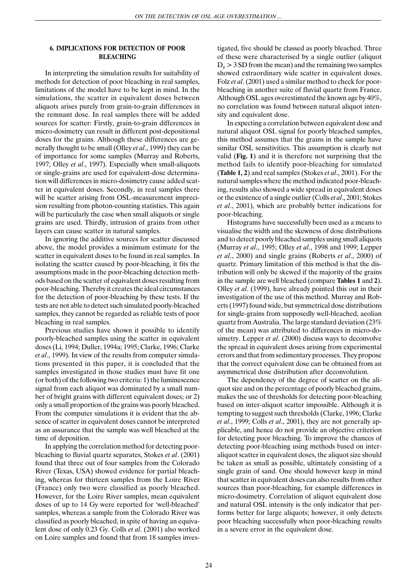## **6. IMPLICATIONS FOR DETECTION OF POOR BLEACHING**

In interpreting the simulation results for suitability of methods for detection of poor bleaching in real samples, limitations of the model have to be kept in mind. In the simulations, the scatter in equivalent doses between aliquots arises purely from grain-to-grain differences in the remnant dose. In real samples there will be added sources for scatter: Firstly, grain-to-grain differences in micro-dosimetry can result in different post-depositional doses for the grains. Although these differences are generally thought to be small (Olley *et al*., 1999) they can be of importance for some samples (Murray and Roberts, 1997; Olley *et al*., 1997). Especially when small-aliquots or single-grains are used for equivalent-dose determination will differences in micro-dosimetry cause added scatter in equivalent doses. Secondly, in real samples there will be scatter arising from OSL-measurement imprecision resulting from photon-counting statistics. This again will be particularly the case when small aliquots or single grains are used. Thirdly, intrusion of grains from other layers can cause scatter in natural samples.

In ignoring the additive sources for scatter discussed above, the model provides a minimum estimate for the scatter in equivalent doses to be found in real samples. In isolating the scatter caused by poor-bleaching, it fits the assumptions made in the poor-bleaching detection methods based on the scatter of equivalent doses resulting from poor-bleaching. Thereby it creates the ideal circumstances for the detection of poor-bleaching by these tests. If the tests are not able to detect such simulated poorly-bleached samples, they cannot be regarded as reliable tests of poor bleaching in real samples.

Previous studies have shown it possible to identify poorly-bleached samples using the scatter in equivalent doses (Li, 1994; Duller, 1994a; 1995; Clarke, 1996; Clarke *et al*., 1999). In view of the results from computer simulations presented in this paper, it is concluded that the samples investigated in those studies must have fit one (or both) of the following two criteria: 1) the luminescence signal from each aliquot was dominated by a small number of bright grains with different equivalent doses; or 2) only a small proportion of the grains was poorly bleached. From the computer simulations it is evident that the absence of scatter in equivalent doses cannot be interpreted as an assurance that the sample was well bleached at the time of deposition.

In applying the correlation method for detecting poorbleaching to fluvial quartz separates, Stokes *et al*. (2001) found that three out of four samples from the Colorado River (Texas, USA) showed evidence for partial bleaching, whereas for thirteen samples from the Loire River (France) only two were classified as poorly bleached. However, for the Loire River samples, mean equivalent doses of up to 14 Gy were reported for 'well-bleached' samples, whereas a sample from the Colorado River was classified as poorly bleached, in spite of having an equivalent dose of only 0.23 Gy. Colls *et al*. (2001) also worked on Loire samples and found that from 18 samples investigated, five should be classed as poorly bleached. Three of these were characterised by a single outlier (aliquot  $D_e$  > 3 SD from the mean) and the remaining two samples showed extraordinary wide scatter in equivalent doses. Folz *et al*. (2001) used a similar method to check for poorbleaching in another suite of fluvial quartz from France. Although OSL ages overestimated the known age by 40%, no correlation was found between natural aliquot intensity and equivalent dose.

In expecting a correlation between equivalent dose and natural aliquot OSL signal for poorly bleached samples, this method assumes that the grains in the sample have similar OSL sensitivities. This assumption is clearly not valid (**Fig. 1**) and it is therefore not surprising that the method fails to identify poor-bleaching for simulated (**Table 1, 2**) and real samples (Stokes *et al*., 2001). For the natural samples where the method indicated poor-bleaching, results also showed a wide spread in equivalent doses or the existence of a single outlier (Colls *et al*., 2001; Stokes *et al*., 2001), which are probably better indications for poor-bleaching.

Histograms have successfully been used as a means to visualise the width and the skewness of dose distributions and to detect poorly bleached samples using small aliquots (Murray *et al*., 1995; Olley *et al*., 1998 and 1999; Lepper *et al*., 2000) and single grains (Roberts *et al*., 2000) of quartz. Primary limitation of this method is that the distribution will only be skewed if the majority of the grains in the sample are well bleached (compare **Tables 1** and **2**). Olley *et al*. (1999), have already pointed this out in their investigation of the use of this method. Murray and Roberts (1997) found wide, but symmetrical dose distributions for single-grains from supposedly well-bleached, aeolian quartz from Australia. The large standard deviation (23% of the mean) was attributed to differences in micro-dosimetry. Lepper *et al*. (2000) discuss ways to deconvolve the spread in equivalent doses arising from experimental errors and that from sedimentary processes. They propose that the correct equivalent dose can be obtained from an asymmetrical dose distribution after deconvolution.

The dependency of the degree of scatter on the aliquot size and on the percentage of poorly bleached grains, makes the use of thresholds for detecting poor-bleaching based on inter-aliquot scatter impossible. Although it is tempting to suggest such thresholds (Clarke, 1996; Clarke *et al*., 1999; Colls *et al*., 2001), they are not generally applicable, and hence do not provide an objective criterion for detecting poor bleaching. To improve the chances of detecting poor-bleaching using methods based on interaliquot scatter in equivalent doses, the aliquot size should be taken as small as possible, ultimately consisting of a single grain of sand. One should however keep in mind that scatter in equivalent doses can also results from other sources than poor-bleaching, for example differences in micro-dosimetry. Correlation of aliquot equivalent dose and natural OSL intensity is the only indicator that performs better for large aliquots; however, it only detects poor bleaching successfully when poor-bleaching results in a severe error in the equivalent dose.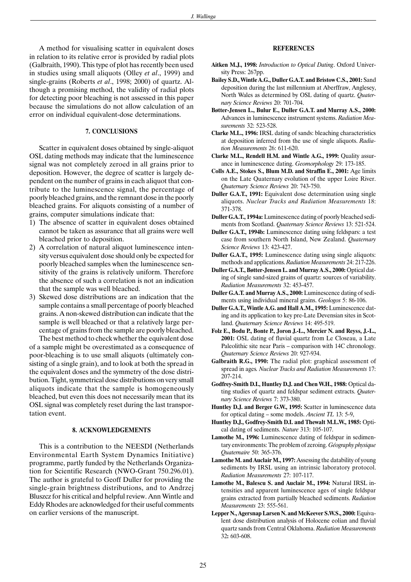A method for visualising scatter in equivalent doses in relation to its relative error is provided by radial plots (Galbraith, 1990). This type of plot has recently been used in studies using small aliquots (Olley *et al*., 1999) and single-grains (Roberts *et al*., 1998; 2000) of quartz. Although a promising method, the validity of radial plots for detecting poor bleaching is not assessed in this paper because the simulations do not allow calculation of an error on individual equivalent-dose determinations.

#### **7. CONCLUSIONS**

Scatter in equivalent doses obtained by single-aliquot OSL dating methods may indicate that the luminescence signal was not completely zeroed in all grains prior to deposition. However, the degree of scatter is largely dependent on the number of grains in each aliquot that contribute to the luminescence signal, the percentage of poorly bleached grains, and the remnant dose in the poorly bleached grains. For aliquots consisting of a number of grains, computer simulations indicate that:

- 1) The absence of scatter in equivalent doses obtained cannot be taken as assurance that all grains were well bleached prior to deposition.
- 2) A correlation of natural aliquot luminescence intensity versus equivalent dose should only be expected for poorly bleached samples when the luminescence sensitivity of the grains is relatively uniform. Therefore the absence of such a correlation is not an indication that the sample was well bleached.
- 3) Skewed dose distributions are an indication that the sample contains a small percentage of poorly bleached grains. A non-skewed distribution can indicate that the sample is well bleached or that a relatively large percentage of grains from the sample are poorly bleached. The best method to check whether the equivalent dose

of a sample might be overestimated as a consequence of poor-bleaching is to use small aliquots (ultimately consisting of a single grain), and to look at both the spread in the equivalent doses and the symmetry of the dose distribution. Tight, symmetrical dose distributions on very small aliquots indicate that the sample is homogeneously bleached, but even this does not necessarily mean that its OSL signal was completely reset during the last transportation event.

## **8. ACKNOWLEDGEMENTS**

This is a contribution to the NEESDI (Netherlands Environmental Earth System Dynamics Initiative) programme, partly funded by the Netherlands Organization for Scientific Research (NWO-Grant 750.296.01). The author is grateful to Geoff Duller for providing the single-grain brightness distributions, and to Andrzej Bluszcz for his critical and helpful review. Ann Wintle and Eddy Rhodes are acknowledged for their useful comments on earlier versions of the manuscript.

# **REFERENCES**

- **Aitken M.J., 1998:** *Introduction to Optical Dating*. Oxford University Press: 267pp.
- **Bailey S.D., Wintle A.G., Duller G.A.T. and Bristow C.S., 2001:** Sand deposition during the last millennium at Aberffraw, Anglesey, North Wales as determined by OSL dating of quartz. *Quaternary Science Reviews* 20: 701-704.
- **Bøtter-Jensen L., Bulur E., Duller G.A.T. and Murray A.S., 2000:** Advances in luminescence instrument systems. *Radiation Measurements* 32: 523-528.
- **Clarke M.L., 1996:** IRSL dating of sands: bleaching characteristics at deposition inferred from the use of single aliquots. *Radiation Measurements* 26: 611-620.
- **Clarke M.L., Rendell H.M. and Wintle A.G., 1999:** Quality assurance in luminescence dating. *Geomorphology* 29: 173-185.
- **Colls A.E., Stokes S., Blum M.D. and Straffin E., 2001:** Age limits on the Late Quaternary evolution of the upper Loire River. *Quaternary Science Reviews* 20: 743-750.
- **Duller G.A.T., 1991:** Equivalent dose determination using single aliquots. *Nuclear Tracks and Radiation Measurements* 18: 371-378.
- **Duller G.A.T., 1994a:** Luminescence dating of poorly bleached sediments from Scotland. *Quaternary Science Reviews* 13: 521-524.
- **Duller G.A.T., 1994b:** Luminescence dating using feldspars: a test case from southern North Island, New Zealand. *Quaternary Science Reviews* 13: 423-427.
- **Duller G.A.T., 1995:** Luminescence dating using single aliquots: methods and applications. *Radiation Measurements* 24: 217-226.
- **Duller G.A.T., Bøtter-Jensen L. and Murray A.S., 2000:** Optical dating of single sand-sized grains of quartz: sources of variability. *Radiation Measurements* 32: 453-457.
- **Duller G.A.T. and Murray A.S., 2000:** Luminescence dating of sediments using individual mineral grains. *Geologos* 5: 86-106.
- **Duller G.A.T., Wintle A.G. and Hall A.M., 1995:** Luminescence dating and its application to key pre-Late Devensian sites in Scotland. *Quaternary Science Reviews* 14: 495-519.
- **Folz E., Bodu P., Bonte P., Joron J.-L., Mercier N. and Reyss, J.-L., 2001:** OSL dating of fluvial quartz from Le Closeau, a Late Paleolithic site near Paris – comparison with 14C chronology. *Quaternary Science Reviews* 20: 927-934.
- **Galbraith R.G., 1990:** The radial plot: graphical assessment of spread in ages*. Nuclear Tracks and Radiation Measurements* 17: 207-214.
- **Godfrey-Smith D.I., Huntley D.J. and Chen W.H., 1988:** Optical dating studies of quartz and feldspar sediment extracts. *Quaternary Science Reviews* 7: 373-380.
- **Huntley D.J. and Berger G.W., 1995:** Scatter in luminescence data for optical dating – some models. *Ancient TL* 13: 5-9,
- **Huntley D.J., Godfrey-Smith D.I. and Thewalt M.L.W., 1985:** Optical dating of sediments. *Nature* 313: 105-107.
- **Lamothe M., 1996:** Luminescence dating of feldspar in sedimentary environments: The problem of zeroing. *Géography physique Quaternaire* 50: 365-376.
- **Lamothe M. and Auclair M., 1997:** Assessing the datability of young sediments by IRSL using an intrinsic laboratory protocol. *Radiation Measurements* 27: 107-117.
- **Lamothe M., Balescu S. and Auclair M., 1994:** Natural IRSL intensities and apparent luminescence ages of single feldspar grains extracted from partially bleached sediments. *Radiation Measurements* 23: 555-561.
- **Lepper N., Agersnap Larsen N. and McKeever S.W.S., 2000:** Equivalent dose distribution analysis of Holocene eolian and fluvial quartz sands from Central Oklahoma. *Radiation Measurements* 32**:** 603-608.